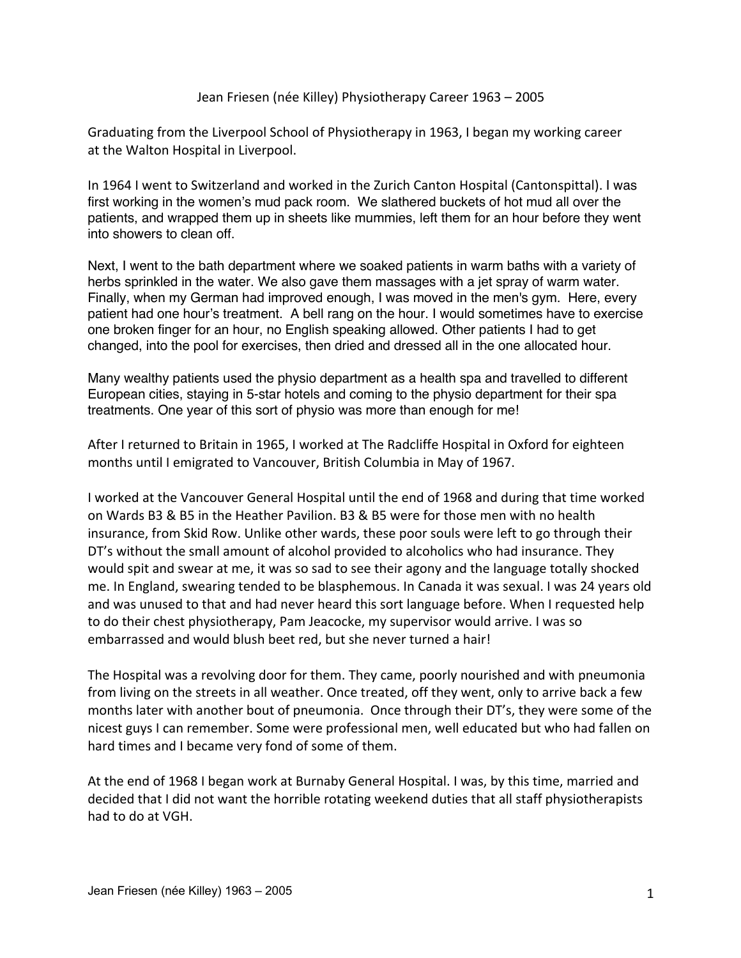## Jean Friesen (née Killey) Physiotherapy Career 1963 – 2005

Graduating from the Liverpool School of Physiotherapy in 1963, I began my working career at the Walton Hospital in Liverpool.

In 1964 I went to Switzerland and worked in the Zurich Canton Hospital (Cantonspittal). I was first working in the women's mud pack room. We slathered buckets of hot mud all over the patients, and wrapped them up in sheets like mummies, left them for an hour before they went into showers to clean off.

Next, I went to the bath department where we soaked patients in warm baths with a variety of herbs sprinkled in the water. We also gave them massages with a jet spray of warm water. Finally, when my German had improved enough, I was moved in the men's gym. Here, every patient had one hour's treatment. A bell rang on the hour. I would sometimes have to exercise one broken finger for an hour, no English speaking allowed. Other patients I had to get changed, into the pool for exercises, then dried and dressed all in the one allocated hour.

Many wealthy patients used the physio department as a health spa and travelled to different European cities, staying in 5-star hotels and coming to the physio department for their spa treatments. One year of this sort of physio was more than enough for me!

After I returned to Britain in 1965, I worked at The Radcliffe Hospital in Oxford for eighteen months until I emigrated to Vancouver, British Columbia in May of 1967.

I worked at the Vancouver General Hospital until the end of 1968 and during that time worked on Wards B3 & B5 in the Heather Pavilion. B3 & B5 were for those men with no health insurance, from Skid Row. Unlike other wards, these poor souls were left to go through their DT's without the small amount of alcohol provided to alcoholics who had insurance. They would spit and swear at me, it was so sad to see their agony and the language totally shocked me. In England, swearing tended to be blasphemous. In Canada it was sexual. I was 24 years old and was unused to that and had never heard this sort language before. When I requested help to do their chest physiotherapy, Pam Jeacocke, my supervisor would arrive. I was so embarrassed and would blush beet red, but she never turned a hair!

The Hospital was a revolving door for them. They came, poorly nourished and with pneumonia from living on the streets in all weather. Once treated, off they went, only to arrive back a few months later with another bout of pneumonia. Once through their DT's, they were some of the nicest guys I can remember. Some were professional men, well educated but who had fallen on hard times and I became very fond of some of them.

At the end of 1968 I began work at Burnaby General Hospital. I was, by this time, married and decided that I did not want the horrible rotating weekend duties that all staff physiotherapists had to do at VGH.